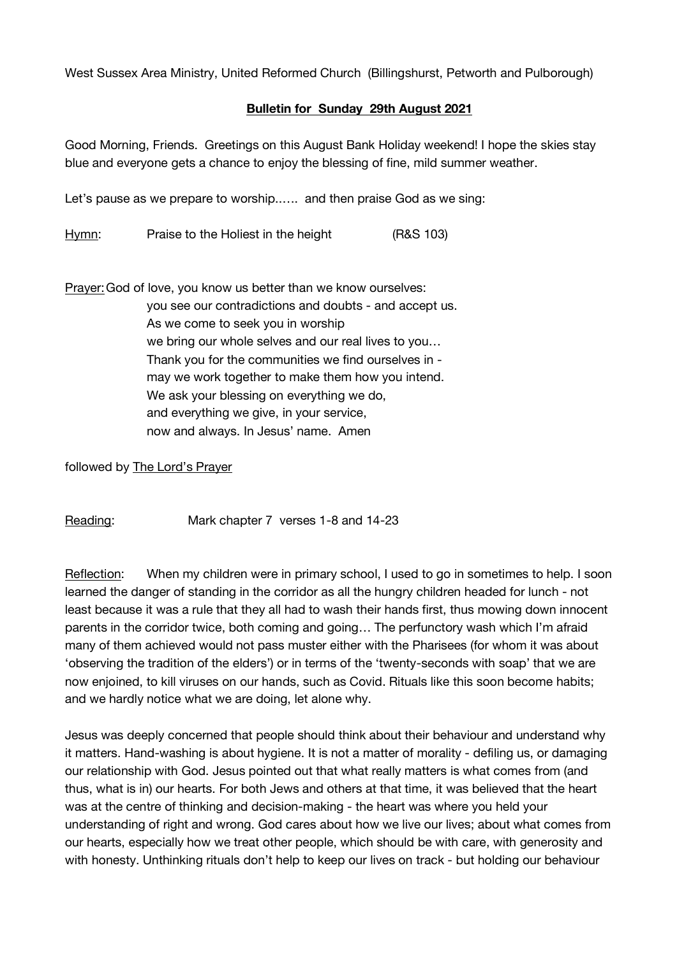West Sussex Area Ministry, United Reformed Church (Billingshurst, Petworth and Pulborough)

## **Bulletin for Sunday 29th August 2021**

Good Morning, Friends. Greetings on this August Bank Holiday weekend! I hope the skies stay blue and everyone gets a chance to enjoy the blessing of fine, mild summer weather.

Let's pause as we prepare to worship..…. and then praise God as we sing:

Hymn: Praise to the Holiest in the height (R&S 103)

Prayer:God of love, you know us better than we know ourselves: you see our contradictions and doubts - and accept us. As we come to seek you in worship we bring our whole selves and our real lives to you… Thank you for the communities we find ourselves in may we work together to make them how you intend. We ask your blessing on everything we do. and everything we give, in your service, now and always. In Jesus' name. Amen

followed by The Lord's Prayer

Reading: Mark chapter 7 verses 1-8 and 14-23

Reflection: When my children were in primary school, I used to go in sometimes to help. I soon learned the danger of standing in the corridor as all the hungry children headed for lunch - not least because it was a rule that they all had to wash their hands first, thus mowing down innocent parents in the corridor twice, both coming and going… The perfunctory wash which I'm afraid many of them achieved would not pass muster either with the Pharisees (for whom it was about 'observing the tradition of the elders') or in terms of the 'twenty-seconds with soap' that we are now enjoined, to kill viruses on our hands, such as Covid. Rituals like this soon become habits; and we hardly notice what we are doing, let alone why.

Jesus was deeply concerned that people should think about their behaviour and understand why it matters. Hand-washing is about hygiene. It is not a matter of morality - defiling us, or damaging our relationship with God. Jesus pointed out that what really matters is what comes from (and thus, what is in) our hearts. For both Jews and others at that time, it was believed that the heart was at the centre of thinking and decision-making - the heart was where you held your understanding of right and wrong. God cares about how we live our lives; about what comes from our hearts, especially how we treat other people, which should be with care, with generosity and with honesty. Unthinking rituals don't help to keep our lives on track - but holding our behaviour